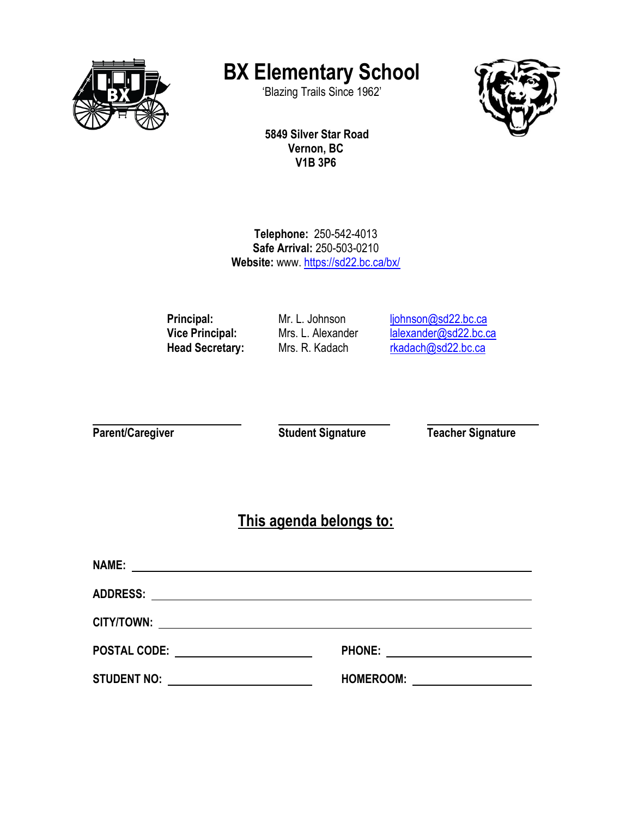

# **BX Elementary School**

'Blazing Trails Since 1962'



**5849 Silver Star Road Vernon, BC V1B 3P6**

**Telephone:** 250-542-4013 **Safe Arrival:** 250-503-0210 **Website:** www. <https://sd22.bc.ca/bx/>

Principal: Mr. L. Johnson [ljohnson@sd22.bc.ca](mailto:ljohnson@sd22.bc.ca) **Vice Principal:** Mrs. L. Alexander Markenburg Lalexander Musulment Contract Alexander Musulment Contract Musulment Contract Musulment Contract Musulment Musulment Musulment Musulment Musulment Musulment Musulment Musulmen Mrs. R. Kadach [rkadach@sd22.bc.ca](mailto:rkadach@sd22.bc.ca)

**Parent/Caregiver Caregiver Student Signature Teacher Signature** 

**This agenda belongs to:**

| <b>NAME:</b>                                                                                                                         |                  |
|--------------------------------------------------------------------------------------------------------------------------------------|------------------|
| <b>ADDRESS:</b>                                                                                                                      |                  |
| CITY/TOWN:<br><u> 1989 - Andrea Aonaichte, ann an t-Èireann an t-Èireann an t-Èireann an t-Èireann an t-Èireann an t-Èireann an </u> |                  |
| <b>POSTAL CODE:</b><br><u> 1980 - Jan Barbara Barbara, maskin</u>                                                                    | <b>PHONE:</b>    |
| <b>STUDENT NO:</b>                                                                                                                   | <b>HOMEROOM:</b> |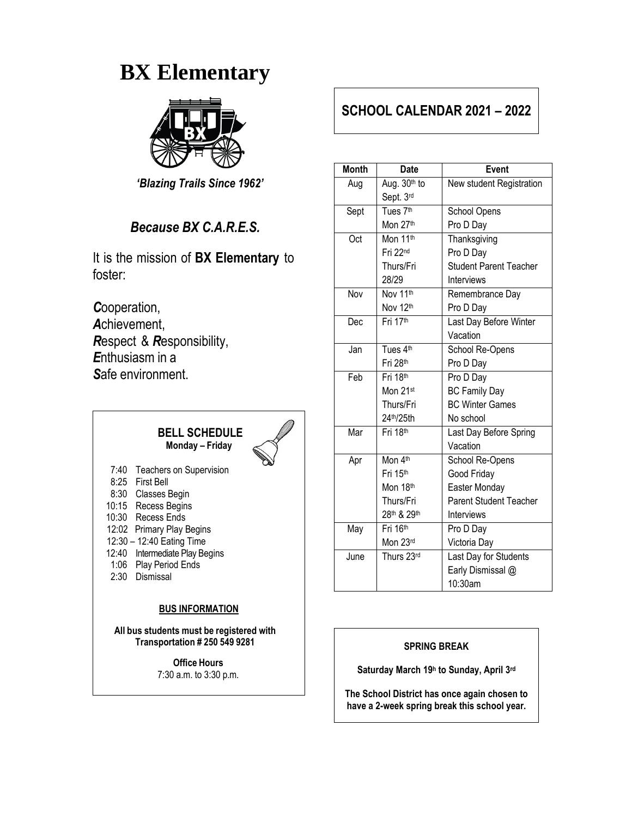# **BX Elementary**



*'Blazing Trails Since 1962'*

#### *Because BX C.A.R.E.S.*

It is the mission of **BX Elementary** to foster:

*C*ooperation, *A*chievement, *R*espect & *R*esponsibility, *E*nthusiasm in a *S*afe environment.



7:40 Teachers on Supervision 8:25 First Bell 8:30 Classes Begin 10:15 Recess Begins 10:30 Recess Ends 12:02 Primary Play Begins 12:30 – 12:40 Eating Time 12:40 Intermediate Play Begins 1:06 Play Period Ends 2:30 Dismissal

#### **BUS INFORMATION**

**All bus students must be registered with Transportation # 250 549 9281**

> **Office Hours** 7:30 a.m. to 3:30 p.m.

## **SCHOOL CALENDAR 2021 – 2022**

| <b>Month</b> | <b>Date</b>                     | <b>Event</b>                  |
|--------------|---------------------------------|-------------------------------|
| Aug          | Aug. 30th to                    | New student Registration      |
|              | Sept. 3rd                       |                               |
| Sept         | Tues 7 <sup>th</sup>            | School Opens                  |
|              | Mon 27th                        | Pro D Day                     |
| Oct          | Mon 11 <sup>th</sup>            | Thanksgiving                  |
|              | Fri 22nd                        | Pro D Day                     |
|              | Thurs/Fri                       | <b>Student Parent Teacher</b> |
|              | 28/29                           | Interviews                    |
| Nov          | Nov 11th                        | Remembrance Day               |
|              | Nov 12th                        | Pro D Day                     |
| Dec          | Fri 17th                        | Last Day Before Winter        |
|              |                                 | Vacation                      |
| Jan          | Tues $4^{\overline{\text{th}}}$ | School Re-Opens               |
|              | Fri 28th                        | Pro D Day                     |
| Feb          | Fri 18th                        | Pro D Day                     |
|              | Mon 21st                        | <b>BC Family Day</b>          |
|              | Thurs/Fri                       | <b>BC Winter Games</b>        |
|              | 24th/25th                       | No school                     |
| Mar          | Fri 18th                        | Last Day Before Spring        |
|              |                                 | Vacation                      |
| Apr          | Mon 4th                         | School Re-Opens               |
|              | Fri 15th                        | Good Friday                   |
|              | Mon 18th                        | Easter Monday                 |
|              | Thurs/Fri                       | Parent Student Teacher        |
|              | 28th & 29th                     | Interviews                    |
| May          | Fri 16th                        | Pro D Day                     |
|              | Mon 23rd                        | Victoria Day                  |
| June         | Thurs 23rd                      | Last Day for Students         |
|              |                                 | Early Dismissal @             |
|              |                                 | 10:30am                       |

#### **SPRING BREAK**

**Saturday March 19 h to Sunday, April 3 rd**

**The School District has once again chosen to have a 2-week spring break this school year.**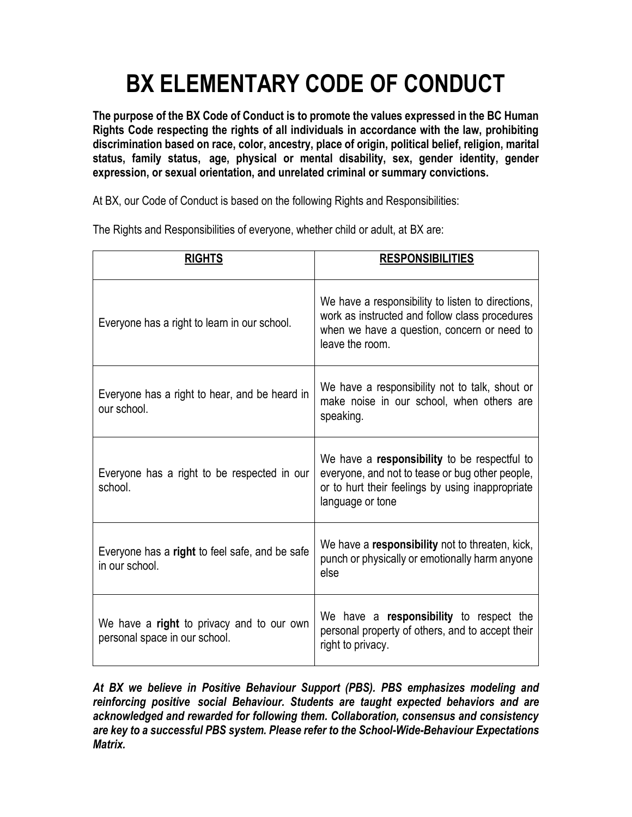# **BX ELEMENTARY CODE OF CONDUCT**

**The purpose of the BX Code of Conduct is to promote the values expressed in the BC Human Rights Code respecting the rights of all individuals in accordance with the law, prohibiting discrimination based on race, color, ancestry, place of origin, political belief, religion, marital status, family status, age, physical or mental disability, sex, gender identity, gender expression, or sexual orientation, and unrelated criminal or summary convictions.**

At BX, our Code of Conduct is based on the following Rights and Responsibilities:

| <b>RIGHTS</b>                                                              | <b>RESPONSIBILITIES</b>                                                                                                                                                 |
|----------------------------------------------------------------------------|-------------------------------------------------------------------------------------------------------------------------------------------------------------------------|
| Everyone has a right to learn in our school.                               | We have a responsibility to listen to directions,<br>work as instructed and follow class procedures<br>when we have a question, concern or need to<br>leave the room.   |
| Everyone has a right to hear, and be heard in<br>our school.               | We have a responsibility not to talk, shout or<br>make noise in our school, when others are<br>speaking.                                                                |
| Everyone has a right to be respected in our<br>school.                     | We have a responsibility to be respectful to<br>everyone, and not to tease or bug other people,<br>or to hurt their feelings by using inappropriate<br>language or tone |
| Everyone has a right to feel safe, and be safe<br>in our school.           | We have a responsibility not to threaten, kick,<br>punch or physically or emotionally harm anyone<br>else                                                               |
| We have a right to privacy and to our own<br>personal space in our school. | We have a responsibility to respect the<br>personal property of others, and to accept their<br>right to privacy.                                                        |

The Rights and Responsibilities of everyone, whether child or adult, at BX are:

*At BX we believe in Positive Behaviour Support (PBS). PBS emphasizes modeling and reinforcing positive social Behaviour. Students are taught expected behaviors and are acknowledged and rewarded for following them. Collaboration, consensus and consistency are key to a successful PBS system. Please refer to the School-Wide-Behaviour Expectations Matrix.*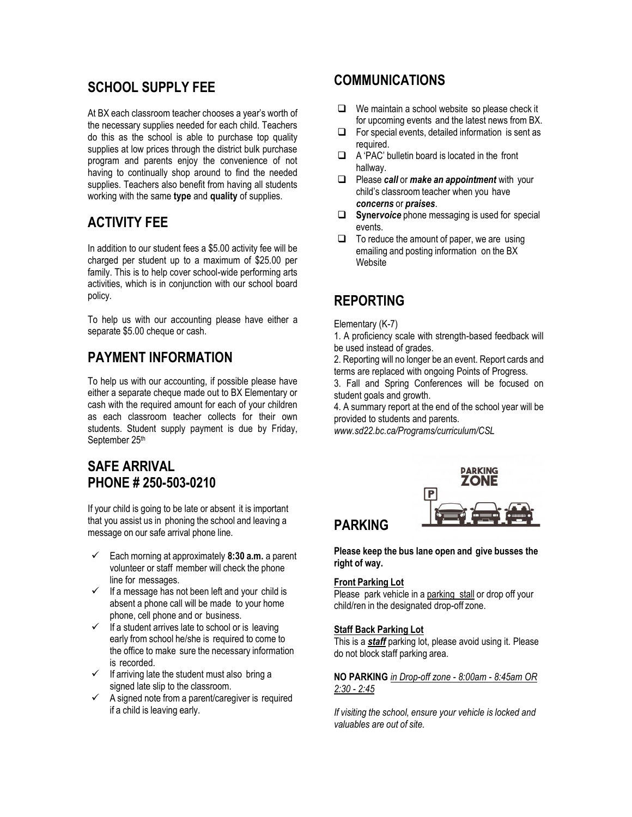# **SCHOOL SUPPLY FEE**

At BX each classroom teacher chooses a year's worth of the necessary supplies needed for each child. Teachers do this as the school is able to purchase top quality supplies at low prices through the district bulk purchase program and parents enjoy the convenience of not having to continually shop around to find the needed supplies. Teachers also benefit from having all students working with the same **type** and **quality** of supplies.

# **ACTIVITY FEE**

In addition to our student fees a \$5.00 activity fee will be charged per student up to a maximum of \$25.00 per family. This is to help cover school-wide performing arts activities, which is in conjunction with our school board policy.

To help us with our accounting please have either a separate \$5.00 cheque or cash.

## **PAYMENT INFORMATION**

To help us with our accounting, if possible please have either a separate cheque made out to BX Elementary or cash with the required amount for each of your children as each classroom teacher collects for their own students. Student supply payment is due by Friday, September 25th

## **SAFE ARRIVAL PHONE # 250-503-0210**

If your child is going to be late or absent it is important that you assist us in phoning the school and leaving a message on our safe arrival phone line.

- ✓ Each morning at approximately **8:30 a.m.** a parent volunteer or staff member will check the phone line for messages.
- $\checkmark$  If a message has not been left and your child is absent a phone call will be made to your home phone, cell phone and or business.
- $\checkmark$  If a student arrives late to school or is leaving early from school he/she is required to come to the office to make sure the necessary information is recorded.
- $\checkmark$  If arriving late the student must also bring a signed late slip to the classroom.
- $\checkmark$  A signed note from a parent/caregiver is required if a child is leaving early.

#### **COMMUNICATIONS**

- ❑ We maintain a school website so please check it for upcoming events and the latest news from BX.
- ❑ For special events, detailed information is sent as required.
- ❑ A 'PAC' bulletin board is located in the front hallway.
- ❑ Please *call* or *make an appointment* with your child's classroom teacher when you have *concerns* or *praises*.
- ❑ **Syner***voice* phone messaging is used for special events.
- ❑ To reduce the amount of paper, we are using emailing and posting information on the BX **Website**

## **REPORTING**

#### Elementary (K-7)

1. A proficiency scale with strength-based feedback will be used instead of grades.

2. Reporting will no longer be an event. Report cards and terms are replaced with ongoing Points of Progress.

3. Fall and Spring Conferences will be focused on student goals and growth.

4. A summary report at the end of the school year will be provided to students and parents.

*www.sd22.bc.ca/Programs/curriculum/CSL*



## **PARKING**

**Please keep the bus lane open and give busses the right of way.**

#### **Front Parking Lot**

Please park vehicle in a parking stall or drop off your child/ren in the designated drop-off zone.

#### **Staff Back Parking Lot**

This is a *staff* parking lot, please avoid using it. Please do not block staff parking area.

**NO PARKING** *in Drop-off zone - 8:00am - 8:45am OR 2:30 - 2:45*

*If visiting the school, ensure your vehicle is locked and valuables are out of site.*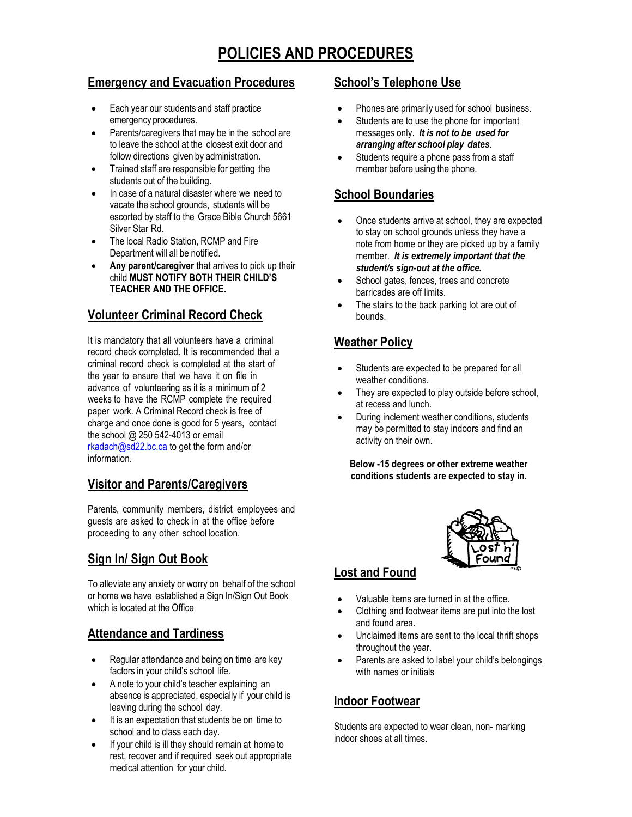# **POLICIES AND PROCEDURES**

#### **Emergency and Evacuation Procedures**

- Each year our students and staff practice emergency procedures.
- Parents/caregivers that may be in the school are to leave the school at the closest exit door and follow directions given by administration.
- Trained staff are responsible for getting the students out of the building.
- In case of a natural disaster where we need to vacate the school grounds, students will be escorted by staff to the Grace Bible Church 5661 Silver Star Rd.
- The local Radio Station, RCMP and Fire Department will all be notified.
- Any parent/caregiver that arrives to pick up their child **MUST NOTIFY BOTH THEIR CHILD'S TEACHER AND THE OFFICE.**

#### **Volunteer Criminal Record Check**

It is mandatory that all volunteers have a criminal record check completed. It is recommended that a criminal record check is completed at the start of the year to ensure that we have it on file in advance of volunteering as it is a minimum of 2 weeks to have the RCMP complete the required paper work. A Criminal Record check is free of charge and once done is good for 5 years, contact the school @ 250 542-4013 or email [rkadach@sd22.bc.ca](mailto:rkadach@sd22.bc.ca) to get the form and/or information.

#### **Visitor and Parents/Caregivers**

Parents, community members, district employees and guests are asked to check in at the office before proceeding to any other school location.

#### **Sign In/ Sign Out Book**

To alleviate any anxiety or worry on behalf of the school or home we have established a Sign In/Sign Out Book which is located at the Office

#### **Attendance and Tardiness**

- Regular attendance and being on time are key factors in your child's school life.
- A note to your child's teacher explaining an absence is appreciated, especially if your child is leaving during the school day.
- It is an expectation that students be on time to school and to class each day.
- If your child is ill they should remain at home to rest, recover and if required seek out appropriate medical attention for your child.

#### **School's Telephone Use**

- Phones are primarily used for school business.
- Students are to use the phone for important messages only. *It is not to be used for arranging after school play dates.*
- Students require a phone pass from a staff member before using the phone.

#### **School Boundaries**

- Once students arrive at school, they are expected to stay on school grounds unless they have a note from home or they are picked up by a family member. *It is extremely important that the student/s sign-out at the office.*
- School gates, fences, trees and concrete barricades are off limits.
- The stairs to the back parking lot are out of bounds.

#### **Weather Policy**

- Students are expected to be prepared for all weather conditions.
- They are expected to play outside before school, at recess and lunch.
- During inclement weather conditions, students may be permitted to stay indoors and find an activity on their own.

**Below -15 degrees or other extreme weather conditions students are expected to stay in.**



## **Lost and Found**

- Valuable items are turned in at the office.
- Clothing and footwear items are put into the lost and found area.
- Unclaimed items are sent to the local thrift shops throughout the year.
- Parents are asked to label your child's belongings with names or initials

#### **Indoor Footwear**

Students are expected to wear clean, non- marking indoor shoes at all times.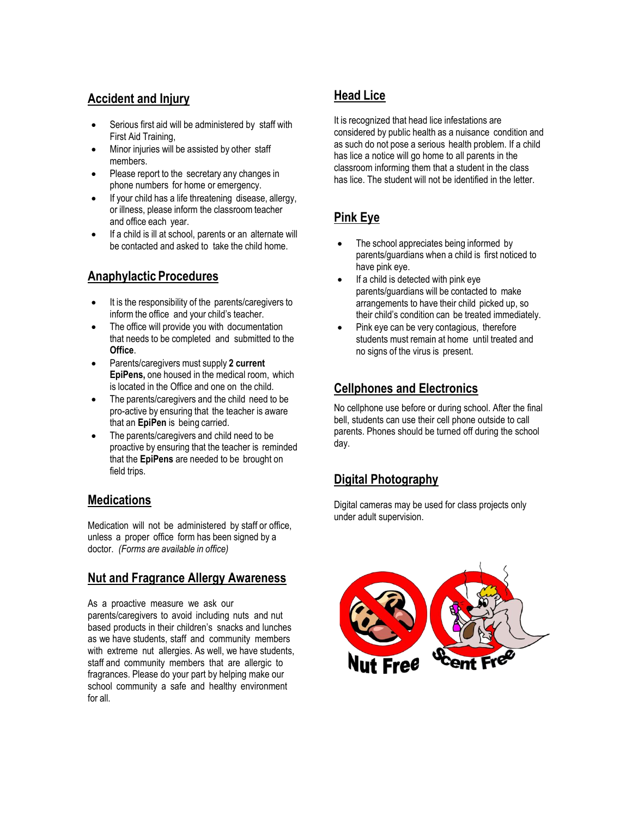#### **Accident and Injury**

- Serious first aid will be administered by staff with First Aid Training,
- Minor injuries will be assisted by other staff members.
- Please report to the secretary any changes in phone numbers for home or emergency.
- If your child has a life threatening disease, allergy, or illness, please inform the classroom teacher and office each year.
- If a child is ill at school, parents or an alternate will be contacted and asked to take the child home.

#### **Anaphylactic Procedures**

- It is the responsibility of the parents/caregivers to inform the office and your child's teacher.
- The office will provide you with documentation that needs to be completed and submitted to the **Office**.
- Parents/caregivers must supply **2 current EpiPens,** one housed in the medical room, which is located in the Office and one on the child.
- The parents/caregivers and the child need to be pro-active by ensuring that the teacher is aware that an **EpiPen** is being carried.
- The parents/caregivers and child need to be proactive by ensuring that the teacher is reminded that the **EpiPens** are needed to be brought on field trips.

#### **Medications**

Medication will not be administered by staff or office, unless a proper office form has been signed by a doctor. *(Forms are available in office)*

#### **Nut and Fragrance Allergy Awareness**

As a proactive measure we ask our parents/caregivers to avoid including nuts and nut based products in their children's snacks and lunches as we have students, staff and community members with extreme nut allergies. As well, we have students, staff and community members that are allergic to fragrances. Please do your part by helping make our school community a safe and healthy environment for all.

# **Head Lice**

It is recognized that head lice infestations are considered by public health as a nuisance condition and as such do not pose a serious health problem. If a child has lice a notice will go home to all parents in the classroom informing them that a student in the class has lice. The student will not be identified in the letter.

## **Pink Eye**

- The school appreciates being informed by parents/guardians when a child is first noticed to have pink eye.
- If a child is detected with pink eye parents/guardians will be contacted to make arrangements to have their child picked up, so their child's condition can be treated immediately.
- Pink eye can be very contagious, therefore students must remain at home until treated and no signs of the virus is present.

## **Cellphones and Electronics**

No cellphone use before or during school. After the final bell, students can use their cell phone outside to call parents. Phones should be turned off during the school day.

## **Digital Photography**

Digital cameras may be used for class projects only under adult supervision.